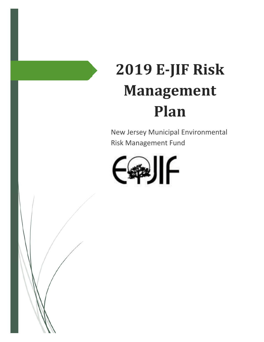# **2019 E‐JIF Risk Management Plan**

New Jersey Municipal Environmental Risk Management Fund

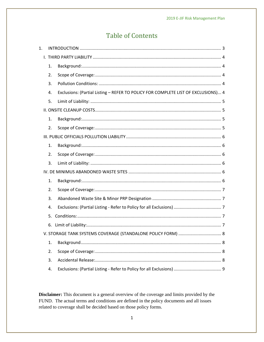# **Table of Contents**

| 1. |    |                                                                                   |
|----|----|-----------------------------------------------------------------------------------|
|    |    |                                                                                   |
|    | 1. |                                                                                   |
|    | 2. |                                                                                   |
|    | 3. |                                                                                   |
|    | 4. | Exclusions: (Partial Listing - REFER TO POLICY FOR COMPLETE LIST OF EXCLUSIONS) 4 |
|    | 5. |                                                                                   |
|    |    |                                                                                   |
|    | 1. |                                                                                   |
|    | 2. |                                                                                   |
|    |    |                                                                                   |
|    | 1. |                                                                                   |
|    | 2. |                                                                                   |
|    | 3. |                                                                                   |
|    |    |                                                                                   |
|    | 1. |                                                                                   |
|    | 2. |                                                                                   |
|    | 3. |                                                                                   |
|    | 4. |                                                                                   |
|    | 5. |                                                                                   |
|    |    |                                                                                   |
|    |    | V. STORAGE TANK SYSTEMS COVERAGE (STANDALONE POLICY FORM)  8                      |
|    | 1. |                                                                                   |
|    | 2. |                                                                                   |
|    | 3. |                                                                                   |
|    | 4. |                                                                                   |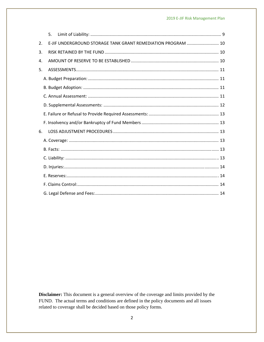|    | 5.                                                           |  |
|----|--------------------------------------------------------------|--|
| 2. | E-JIF UNDERGROUND STORAGE TANK GRANT REMEDIATION PROGRAM  10 |  |
| 3. |                                                              |  |
| 4. |                                                              |  |
| 5. |                                                              |  |
|    |                                                              |  |
|    |                                                              |  |
|    |                                                              |  |
|    |                                                              |  |
|    |                                                              |  |
|    |                                                              |  |
| 6. |                                                              |  |
|    |                                                              |  |
|    |                                                              |  |
|    |                                                              |  |
|    |                                                              |  |
|    |                                                              |  |
|    |                                                              |  |
|    |                                                              |  |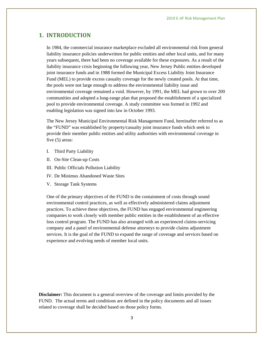## **1. INTRODUCTION**

In 1984, the commercial insurance marketplace excluded all environmental risk from general liability insurance policies underwritten for public entities and other local units, and for many years subsequent, there had been no coverage available for these exposures. As a result of the liability insurance crisis beginning the following year, New Jersey Public entities developed joint insurance funds and in 1988 formed the Municipal Excess Liability Joint Insurance Fund (MEL) to provide excess casualty coverage for the newly created pools. At that time, the pools were not large enough to address the environmental liability issue and environmental coverage remained a void. However, by 1991, the MEL had grown to over 200 communities and adopted a long-range plan that proposed the establishment of a specialized pool to provide environmental coverage. A study committee was formed in 1992 and enabling legislation was signed into law in October 1993.

The New Jersey Municipal Environmental Risk Management Fund, hereinafter referred to as the "FUND" was established by property/casualty joint insurance funds which seek to provide their member public entities and utility authorities with environmental coverage in five (5) areas:

- I. Third Party Liability
- II. On-Site Clean-up Costs
- III. Public Officials Pollution Liability
- IV. De Minimus Abandoned Waste Sites
- V. Storage Tank Systems

One of the primary objectives of the FUND is the containment of costs through sound environmental control practices, as well as effectively administered claims adjustment practices. To achieve these objectives, the FUND has engaged environmental engineering companies to work closely with member public entities in the establishment of an effective loss control program. The FUND has also arranged with an experienced claims-servicing company and a panel of environmental defense attorneys to provide claims adjustment services. It is the goal of the FUND to expand the range of coverage and services based on experience and evolving needs of member local units.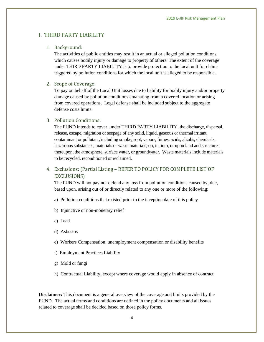## I. THIRD PARTY LIABILITY

#### 1. Background:

The activities of public entities may result in an actual or alleged pollution conditions which causes bodily injury or damage to property of others. The extent of the coverage under THIRD PARTY LIABILITY is to provide protection to the local unit for claims triggered by pollution conditions for which the local unit is alleged to be responsible.

#### 2. Scope of Coverage:

To pay on behalf of the Local Unit losses due to liability for bodily injury and/or property damage caused by pollution conditions emanating from a covered location or arising from covered operations. Legal defense shall be included subject to the aggregate defense costs limits.

#### 3. Pollution Conditions:

The FUND intends to cover, under THIRD PARTY LIABILITY, the discharge, dispersal, release, escape, migration or seepage of any solid, liquid, gaseous or thermal irritant, contaminant or pollutant, including smoke, soot, vapors, fumes, acids, alkalis, chemicals, hazardous substances, materials or waste materials, on, in, into, or upon land and structures thereupon, the atmosphere, surface water, or groundwater. Waste materials include materials to be recycled, reconditioned or reclaimed.

## 4. Exclusions: (Partial Listing – REFER TO POLICY FOR COMPLETE LIST OF EXCLUSIONS)

The FUND will not pay nor defend any loss from pollution conditions caused by, due, based upon, arising out of or directly related to any one or more of the following:

- a) Pollution conditions that existed prior to the inception date of this policy
- b) Injunctive or non-monetary relief
- c) Lead
- d) Asbestos
- e) Workers Compensation, unemployment compensation or disability benefits
- f) Employment Practices Liability
- g) Mold or fungi
- h) Contractual Liability, except where coverage would apply in absence of contract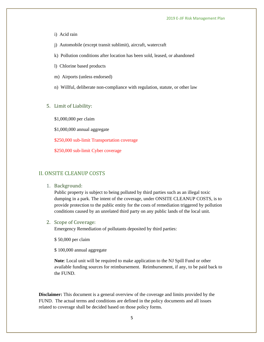- i) Acid rain
- j) Automobile (except transit sublimit), aircraft, watercraft
- k) Pollution conditions after location has been sold, leased, or abandoned
- l) Chlorine based products
- m) Airports (unless endorsed)
- n) Willful, deliberate non-compliance with regulation, statute, or other law
- 5. Limit of Liability:

\$1,000,000 per claim

\$1,000,000 annual aggregate

\$250,000 sub-limit Transportation coverage

\$250,000 sub-limit Cyber coverage

## II. ONSITE CLEANUP COSTS

1. Background: 

Public property is subject to being polluted by third parties such as an illegal toxic dumping in a park. The intent of the coverage, under ONSITE CLEANUP COSTS, is to provide protection to the public entity for the costs of remediation triggered by pollution conditions caused by an unrelated third party on any public lands of the local unit.

#### 2. Scope of Coverage:

Emergency Remediation of pollutants deposited by third parties:

\$ 50,000 per claim

\$ 100,000 annual aggregate

**Note**: Local unit will be required to make application to the NJ Spill Fund or other available funding sources for reimbursement. Reimbursement, if any, to be paid back to the FUND.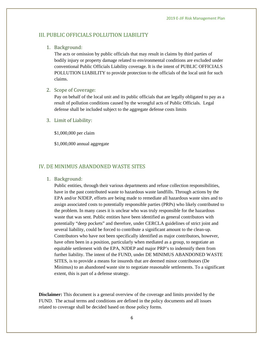#### III. PUBLIC OFFICIALS POLLUTION LIABILITY

#### 1. Background:

The acts or omission by public officials that may result in claims by third parties of bodily injury or property damage related to environmental conditions are excluded under conventional Public Officials Liability coverage. It is the intent of PUBLIC OFFICIALS POLLUTION LIABILITY to provide protection to the officials of the local unit for such claims.

#### 2. Scope of Coverage:

Pay on behalf of the local unit and its public officials that are legally obligated to pay as a result of pollution conditions caused by the wrongful acts of Public Officials. Legal defense shall be included subject to the aggregate defense costs limits

#### 3. Limit of Liability:

\$1,000,000 per claim

\$1,000,000 annual aggregate

## IV. DE MINIMUS ABANDONED WASTE SITES

1. Background: 

Public entities, through their various departments and refuse collection responsibilities, have in the past contributed waste to hazardous waste landfills. Through actions by the EPA and/or NJDEP, efforts are being made to remediate all hazardous waste sites and to assign associated costs to potentially responsible parties (PRPs) who likely contributed to the problem. In many cases it is unclear who was truly responsible for the hazardous waste that was sent. Public entities have been identified as general contributors with potentially "deep pockets" and therefore, under CERCLA guidelines of strict joint and several liability, could be forced to contribute a significant amount to the clean-up. Contributors who have not been specifically identified as major contributors, however, have often been in a position, particularly when mediated as a group, to negotiate an equitable settlement with the EPA, NJDEP and major PRP's to indemnify them from further liability. The intent of the FUND, under DE MINIMUS ABANDONED WASTE SITES, is to provide a means for insureds that are deemed minor contributors (De Minimus) to an abandoned waste site to negotiate reasonable settlements. To a significant extent, this is part of a defense strategy.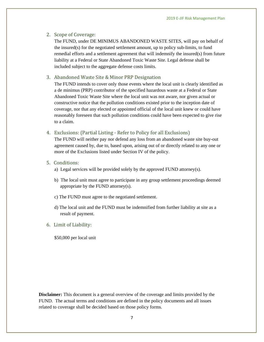#### 2. Scope of Coverage:

The FUND, under DE MINIMUS ABANDONED WASTE SITES, will pay on behalf of the insured(s) for the negotiated settlement amount, up to policy sub-limits, to fund remedial efforts and a settlement agreement that will indemnify the insured(s) from future liability at a Federal or State Abandoned Toxic Waste Site. Legal defense shall be included subject to the aggregate defense costs limits.

#### 3. Abandoned Waste Site & Minor PRP Designation

The FUND intends to cover only those events where the local unit is clearly identified as a de minimus (PRP) contributor of the specified hazardous waste at a Federal or State Abandoned Toxic Waste Site where the local unit was not aware, nor given actual or constructive notice that the pollution conditions existed prior to the inception date of coverage, nor that any elected or appointed official of the local unit knew or could have reasonably foreseen that such pollution conditions could have been expected to give rise to a claim.

#### 4. Exclusions: (Partial Listing - Refer to Policy for all Exclusions)

The FUND will neither pay nor defend any loss from an abandoned waste site buy-out agreement caused by, due to, based upon, arising out of or directly related to any one or more of the Exclusions listed under Section IV of the policy.

#### 5. Conditions:

- a) Legal services will be provided solely by the approved FUND attorney(s).
- b) The local unit must agree to participate in any group settlement proceedings deemed appropriate by the FUND attorney(s).
- c) The FUND must agree to the negotiated settlement.
- d) The local unit and the FUND must be indemnified from further liability at site as a result of payment.

#### 6. Limit of Liability:

\$50,000 per local unit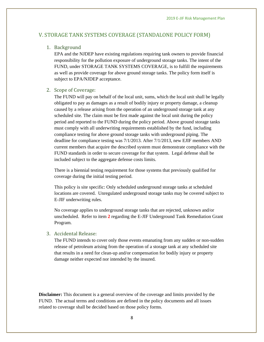#### V. STORAGE TANK SYSTEMS COVERAGE (STANDALONE POLICY FORM)

#### 1. Background

EPA and the NJDEP have existing regulations requiring tank owners to provide financial responsibility for the pollution exposure of underground storage tanks. The intent of the FUND, under STORAGE TANK SYSTEMS COVERAGE, is to fulfill the requirements as well as provide coverage for above ground storage tanks. The policy form itself is subject to EPA/NJDEP acceptance.

#### 2. Scope of Coverage:

The FUND will pay on behalf of the local unit, sums, which the local unit shall be legally obligated to pay as damages as a result of bodily injury or property damage, a cleanup caused by a release arising from the operation of an underground storage tank at any scheduled site. The claim must be first made against the local unit during the policy period and reported to the FUND during the policy period. Above ground storage tanks must comply with all underwriting requirements established by the fund, including compliance testing for above ground storage tanks with underground piping. The deadline for compliance testing was 7/1/2013. After 7/1/2013, new EJIF members AND current members that acquire the described system must demonstrate compliance with the FUND standards in order to secure coverage for that system. Legal defense shall be included subject to the aggregate defense costs limits.

There is a biennial testing requirement for those systems that previously qualified for coverage during the initial testing period.

This policy is site specific: Only scheduled underground storage tanks at scheduled locations are covered. Unregulated underground storage tanks may be covered subject to E-JIF underwriting rules.

No coverage applies to underground storage tanks that are rejected, unknown and/or unscheduled. Refer to item **2** regarding the E-JIF Underground Tank Remediation Grant Program.

#### 3. Accidental Release:

The FUND intends to cover only those events emanating from any sudden or non-sudden release of petroleum arising from the operation of a storage tank at any scheduled site that results in a need for clean-up and/or compensation for bodily injury or property damage neither expected nor intended by the insured.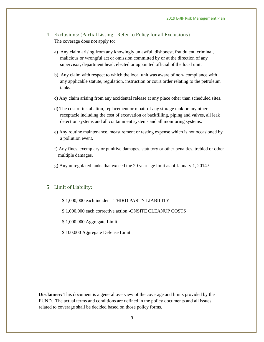- 4. Exclusions: (Partial Listing Refer to Policy for all Exclusions) The coverage does not apply to:
	- a) Any claim arising from any knowingly unlawful, dishonest, fraudulent, criminal, malicious or wrongful act or omission committed by or at the direction of any supervisor, department head, elected or appointed official of the local unit.
	- b) Any claim with respect to which the local unit was aware of non- compliance with any applicable statute, regulation, instruction or court order relating to the petroleum tanks.
	- c) Any claim arising from any accidental release at any place other than scheduled sites.
	- d) The cost of installation, replacement or repair of any storage tank or any other receptacle including the cost of excavation or backfilling, piping and valves, all leak detection systems and all containment systems and all monitoring systems.
	- e) Any routine maintenance, measurement or testing expense which is not occasioned by a pollution event.
	- f) Any fines, exemplary or punitive damages, statutory or other penalties, trebled or other multiple damages.
	- g) Any unregulated tanks that exceed the 20 year age limit as of January 1, 2014.\

#### 5. Limit of Liability:

- \$ 1,000,000 each incident -THIRD PARTY LIABILITY
- \$ 1,000,000 each corrective action -ONSITE CLEANUP COSTS
- \$ 1,000,000 Aggregate Limit
- \$ 100,000 Aggregate Defense Limit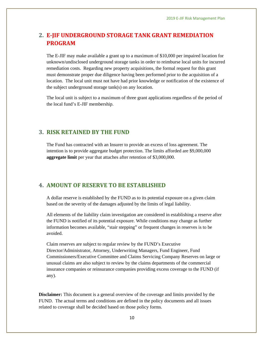## **2. E‐JIF UNDERGROUND STORAGE TANK GRANT REMEDIATION PROGRAM**

The E-JIF may make available a grant up to a maximum of \$10,000 per impaired location for unknown/undisclosed underground storage tanks in order to reimburse local units for incurred remediation costs. Regarding new property acquisitions, the formal request for this grant must demonstrate proper due diligence having been performed prior to the acquisition of a location. The local unit must not have had prior knowledge or notification of the existence of the subject underground storage tank(s) on any location.

The local unit is subject to a maximum of three grant applications regardless of the period of the local fund's E-JIF membership.

## **3. RISK RETAINED BY THE FUND**

The Fund has contracted with an Insurer to provide an excess of loss agreement. The intention is to provide aggregate budget protection. The limits afforded are \$9,000,000 **aggregate limit** per year that attaches after retention of \$3,000,000.

## **4. AMOUNT OF RESERVE TO BE ESTABLISHED**

A dollar reserve is established by the FUND as to its potential exposure on a given claim based on the severity of the damages adjusted by the limits of legal liability.

All elements of the liability claim investigation are considered in establishing a reserve after the FUND is notified of its potential exposure. While conditions may change as further information becomes available, "stair stepping" or frequent changes in reserves is to be avoided.

Claim reserves are subject to regular review by the FUND's Executive Director/Administrator, Attorney, Underwriting Managers, Fund Engineer, Fund Commissioners/Executive Committee and Claims Servicing Company Reserves on large or unusual claims are also subject to review by the claims departments of the commercial insurance companies or reinsurance companies providing excess coverage to the FUND (if any).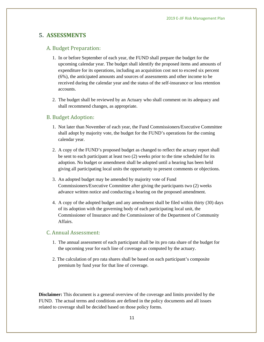## **5. ASSESSMENTS**

#### A. Budget Preparation:

- 1. In or before September of each year, the FUND shall prepare the budget for the upcoming calendar year. The budget shall identify the proposed items and amounts of expenditure for its operations, including an acquisition cost not to exceed six percent (6%), the anticipated amounts and sources of assessments and other income to be received during the calendar year and the status of the self-insurance or loss retention accounts.
- 2. The budget shall be reviewed by an Actuary who shall comment on its adequacy and shall recommend changes, as appropriate.

#### B. Budget Adoption:

- 1. Not later than November of each year, the Fund Commissioners/Executive Committee shall adopt by majority vote, the budget for the FUND's operations for the coming calendar year.
- 2. A copy of the FUND's proposed budget as changed to reflect the actuary report shall be sent to each participant at least two (2) weeks prior to the time scheduled for its adoption. No budget or amendment shall be adopted until a hearing has been held giving all participating local units the opportunity to present comments or objections.
- 3. An adopted budget may be amended by majority vote of Fund Commissioners/Executive Committee after giving the participants two (2) weeks advance written notice and conducting a hearing on the proposed amendment.
- 4. A copy of the adopted budget and any amendment shall be filed within thirty (30) days of its adoption with the governing body of each participating local unit, the Commissioner of Insurance and the Commissioner of the Department of Community Affairs.

## C. Annual Assessment:

- 1. The annual assessment of each participant shall be its pro rata share of the budget for the upcoming year for each line of coverage as computed by the actuary.
- 2. The calculation of pro rata shares shall be based on each participant's composite premium by fund year for that line of coverage.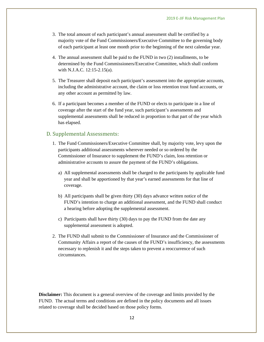- 3. The total amount of each participant's annual assessment shall be certified by a majority vote of the Fund Commissioners/Executive Committee to the governing body of each participant at least one month prior to the beginning of the next calendar year.
- 4. The annual assessment shall be paid to the FUND in two (2) installments, to be determined by the Fund Commissioners/Executive Committee, which shall conform with N.J.A.C. 12:15-2.15(a).
- 5. The Treasurer shall deposit each participant's assessment into the appropriate accounts, including the administrative account, the claim or loss retention trust fund accounts, or any other account as permitted by law.
- 6. If a participant becomes a member of the FUND or elects to participate in a line of coverage after the start of the fund year, such participant's assessments and supplemental assessments shall be reduced in proportion to that part of the year which has elapsed.

## D. Supplemental Assessments:

- 1. The Fund Commissioners/Executive Committee shall, by majority vote, levy upon the participants additional assessments wherever needed or so ordered by the Commissioner of Insurance to supplement the FUND's claim, loss retention or administrative accounts to assure the payment of the FUND's obligations.
	- a) All supplemental assessments shall be charged to the participants by applicable fund year and shall be apportioned by that year's earned assessments for that line of coverage.
	- b) All participants shall be given thirty (30) days advance written notice of the FUND's intention to charge an additional assessment, and the FUND shall conduct a hearing before adopting the supplemental assessment.
	- c) Participants shall have thirty (30) days to pay the FUND from the date any supplemental assessment is adopted.
- 2. The FUND shall submit to the Commissioner of Insurance and the Commissioner of Community Affairs a report of the causes of the FUND's insufficiency, the assessments necessary to replenish it and the steps taken to prevent a reoccurrence of such circumstances.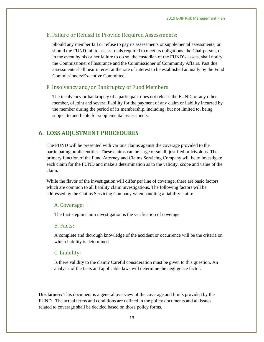#### E. Failure or Refusal to Provide Required Assessments:

Should any member fail or refuse to pay its assessments or supplemental assessments, or should the FUND fail to assess funds required to meet its obligations, the Chairperson, or in the event by his or her failure to do so, the custodian of the FUND's assets, shall notify the Commissioner of Insurance and the Commissioner of Community Affairs. Past due assessments shall bear interest at the rate of interest to be established annually by the Fund Commissioners/Executive Committee.

## F. Insolvency and/or Bankruptcy of Fund Members

The insolvency or bankruptcy of a participant does not release the FUND, or any other member, of joint and several liability for the payment of any claim or liability incurred by the member during the period of its membership, including, but not limited to, being subject to and liable for supplemental assessments.

## **6. LOSS ADJUSTMENT PROCEDURES**

The FUND will be presented with various claims against the coverage provided to the participating public entities. These claims can be large or small, justified or frivolous. The primary function of the Fund Attorney and Claims Servicing Company will be to investigate each claim for the FUND and make a determination as to the validity, scope and value of the claim.

While the flavor of the investigation will differ per line of coverage, there are basic factors which are common to all liability claim investigations. The following factors will be addressed by the Claims Servicing Company when handling a liability claim:

#### A. Coverage:

The first step in claim investigation is the verification of coverage.

#### B. Facts:

A complete and thorough knowledge of the accident or occurrence will be the criteria on which liability is determined.

#### C. Liability:

Is there validity to the claim? Careful consideration must be given to this question. An analysis of the facts and applicable laws will determine the negligence factor.